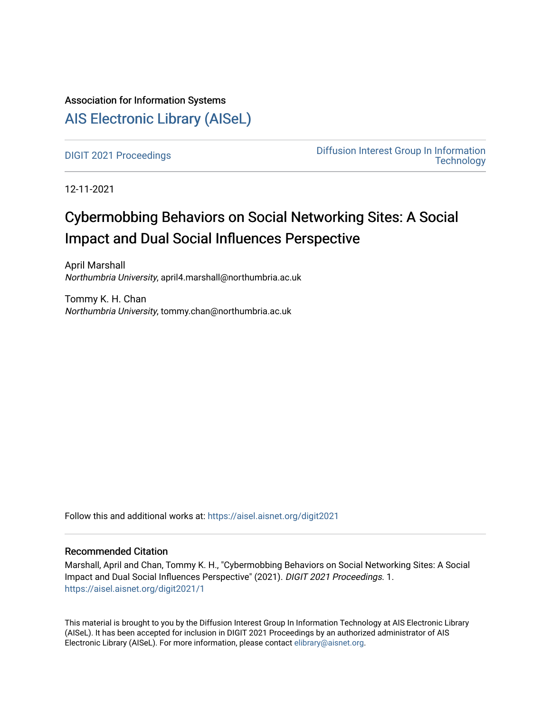### Association for Information Systems

### [AIS Electronic Library \(AISeL\)](https://aisel.aisnet.org/)

[DIGIT 2021 Proceedings](https://aisel.aisnet.org/digit2021) [Diffusion Interest Group In Information](https://aisel.aisnet.org/digit)  **Technology** 

12-11-2021

## Cybermobbing Behaviors on Social Networking Sites: A Social Impact and Dual Social Influences Perspective

April Marshall Northumbria University, april4.marshall@northumbria.ac.uk

Tommy K. H. Chan Northumbria University, tommy.chan@northumbria.ac.uk

Follow this and additional works at: [https://aisel.aisnet.org/digit2021](https://aisel.aisnet.org/digit2021?utm_source=aisel.aisnet.org%2Fdigit2021%2F1&utm_medium=PDF&utm_campaign=PDFCoverPages) 

#### Recommended Citation

Marshall, April and Chan, Tommy K. H., "Cybermobbing Behaviors on Social Networking Sites: A Social Impact and Dual Social Influences Perspective" (2021). DIGIT 2021 Proceedings. 1. [https://aisel.aisnet.org/digit2021/1](https://aisel.aisnet.org/digit2021/1?utm_source=aisel.aisnet.org%2Fdigit2021%2F1&utm_medium=PDF&utm_campaign=PDFCoverPages) 

This material is brought to you by the Diffusion Interest Group In Information Technology at AIS Electronic Library (AISeL). It has been accepted for inclusion in DIGIT 2021 Proceedings by an authorized administrator of AIS Electronic Library (AISeL). For more information, please contact [elibrary@aisnet.org.](mailto:elibrary@aisnet.org%3E)